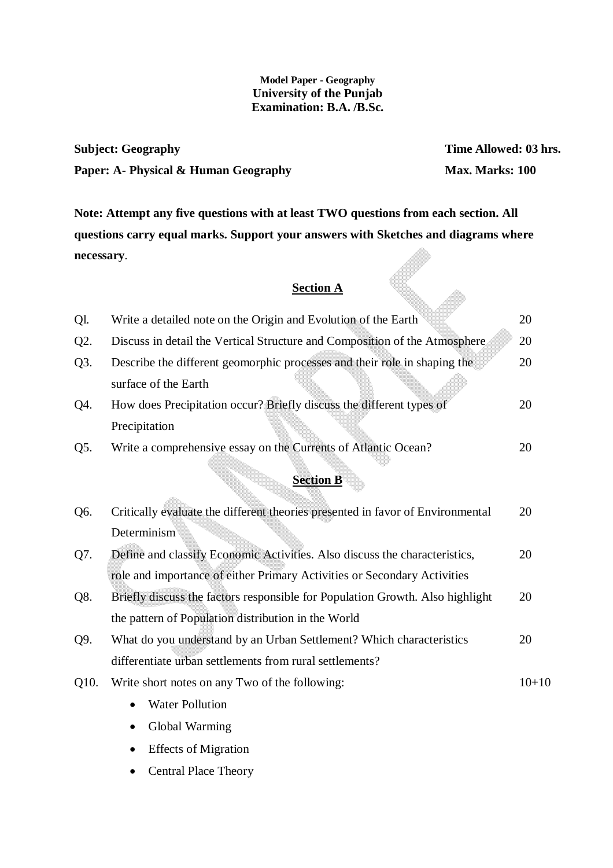## **Model Paper - Geography University of the Punjab Examination: B.A. /B.Sc.**

**Subject: Geography Time Allowed: 03 hrs. Paper: A- Physical & Human Geography Max. Marks: 100** 

**Note: Attempt any five questions with at least TWO questions from each section. All questions carry equal marks. Support your answers with Sketches and diagrams where necessary**. Ql. Write a detailed note on the Origin and Evolution of the Earth 20

## **Section A**

| Ql.  | Write a detailed note on the Origin and Evolution of the Earth                 | 20        |
|------|--------------------------------------------------------------------------------|-----------|
| Q2.  | Discuss in detail the Vertical Structure and Composition of the Atmosphere     | 20        |
| Q3.  | Describe the different geomorphic processes and their role in shaping the      | 20        |
|      | surface of the Earth                                                           |           |
| Q4.  | How does Precipitation occur? Briefly discuss the different types of           | 20        |
|      | Precipitation                                                                  |           |
| Q5.  | Write a comprehensive essay on the Currents of Atlantic Ocean?                 | 20        |
|      | <b>Section B</b>                                                               |           |
| Q6.  | Critically evaluate the different theories presented in favor of Environmental | 20        |
|      | Determinism                                                                    |           |
| Q7.  | Define and classify Economic Activities. Also discuss the characteristics,     | 20        |
|      | role and importance of either Primary Activities or Secondary Activities       |           |
| Q8.  | Briefly discuss the factors responsible for Population Growth. Also highlight  | 20        |
|      | the pattern of Population distribution in the World                            |           |
| Q9.  | What do you understand by an Urban Settlement? Which characteristics           | 20        |
|      | differentiate urban settlements from rural settlements?                        |           |
| Q10. | Write short notes on any Two of the following:                                 | $10 + 10$ |
|      | <b>Water Pollution</b>                                                         |           |
|      | Global Warming                                                                 |           |
|      |                                                                                |           |

- Effects of Migration
- Central Place Theory